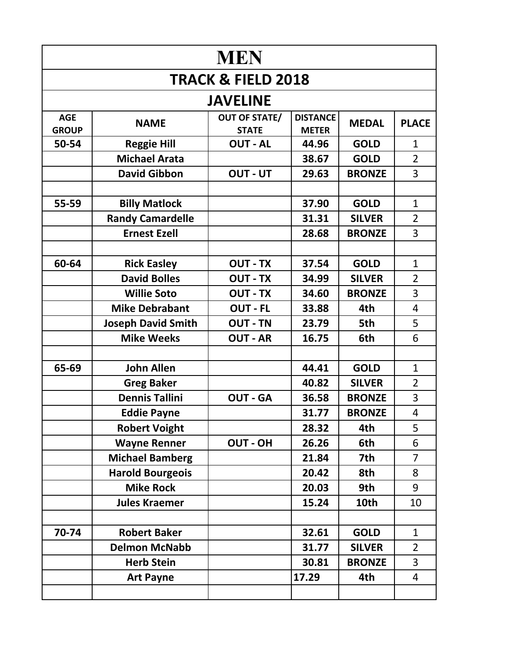| <b>MEN</b>                    |                           |                                      |                                 |               |                |  |  |  |
|-------------------------------|---------------------------|--------------------------------------|---------------------------------|---------------|----------------|--|--|--|
| <b>TRACK &amp; FIELD 2018</b> |                           |                                      |                                 |               |                |  |  |  |
|                               |                           | <b>JAVELINE</b>                      |                                 |               |                |  |  |  |
| <b>AGE</b><br><b>GROUP</b>    | <b>NAME</b>               | <b>OUT OF STATE/</b><br><b>STATE</b> | <b>DISTANCE</b><br><b>METER</b> | <b>MEDAL</b>  | <b>PLACE</b>   |  |  |  |
| 50-54                         | <b>Reggie Hill</b>        | <b>OUT - AL</b>                      | 44.96                           | <b>GOLD</b>   | $\mathbf{1}$   |  |  |  |
|                               | <b>Michael Arata</b>      |                                      | 38.67                           | <b>GOLD</b>   | $\overline{2}$ |  |  |  |
|                               | <b>David Gibbon</b>       | OUT - UT                             | 29.63                           | <b>BRONZE</b> | 3              |  |  |  |
|                               |                           |                                      |                                 |               |                |  |  |  |
| 55-59                         | <b>Billy Matlock</b>      |                                      | 37.90                           | <b>GOLD</b>   | $\mathbf{1}$   |  |  |  |
|                               | <b>Randy Camardelle</b>   |                                      | 31.31                           | <b>SILVER</b> | $\overline{2}$ |  |  |  |
|                               | <b>Ernest Ezell</b>       |                                      | 28.68                           | <b>BRONZE</b> | $\overline{3}$ |  |  |  |
|                               |                           |                                      |                                 |               |                |  |  |  |
| 60-64                         | <b>Rick Easley</b>        | <b>OUT - TX</b>                      | 37.54                           | <b>GOLD</b>   | $\mathbf{1}$   |  |  |  |
|                               | <b>David Bolles</b>       | <b>OUT - TX</b>                      | 34.99                           | <b>SILVER</b> | $\overline{2}$ |  |  |  |
|                               | <b>Willie Soto</b>        | <b>OUT - TX</b>                      | 34.60                           | <b>BRONZE</b> | 3              |  |  |  |
|                               | <b>Mike Debrabant</b>     | <b>OUT - FL</b>                      | 33.88                           | 4th           | 4              |  |  |  |
|                               | <b>Joseph David Smith</b> | <b>OUT - TN</b>                      | 23.79                           | 5th           | 5              |  |  |  |
|                               | <b>Mike Weeks</b>         | <b>OUT - AR</b>                      | 16.75                           | 6th           | 6              |  |  |  |
|                               |                           |                                      |                                 |               |                |  |  |  |
| 65-69                         | <b>John Allen</b>         |                                      | 44.41                           | <b>GOLD</b>   | $\mathbf{1}$   |  |  |  |
|                               | <b>Greg Baker</b>         |                                      | 40.82                           | <b>SILVER</b> | $\overline{2}$ |  |  |  |
|                               | <b>Dennis Tallini</b>     | <b>OUT - GA</b>                      | 36.58                           | <b>BRONZE</b> | 3              |  |  |  |
|                               | <b>Eddie Payne</b>        |                                      | 31.77                           | <b>BRONZE</b> | 4              |  |  |  |
|                               | <b>Robert Voight</b>      |                                      | 28.32                           | 4th           | 5              |  |  |  |
|                               | <b>Wayne Renner</b>       | <b>OUT - OH</b>                      | 26.26                           | 6th           | 6              |  |  |  |
|                               | <b>Michael Bamberg</b>    |                                      | 21.84                           | 7th           | $\overline{7}$ |  |  |  |
|                               | <b>Harold Bourgeois</b>   |                                      | 20.42                           | 8th           | 8              |  |  |  |
|                               | <b>Mike Rock</b>          |                                      | 20.03                           | 9th           | 9              |  |  |  |
|                               | <b>Jules Kraemer</b>      |                                      | 15.24                           | 10th          | 10             |  |  |  |
|                               |                           |                                      |                                 |               |                |  |  |  |
| 70-74                         | <b>Robert Baker</b>       |                                      | 32.61                           | <b>GOLD</b>   | $\mathbf{1}$   |  |  |  |
|                               | <b>Delmon McNabb</b>      |                                      | 31.77                           | <b>SILVER</b> | $\overline{2}$ |  |  |  |
|                               | <b>Herb Stein</b>         |                                      | 30.81                           | <b>BRONZE</b> | $\overline{3}$ |  |  |  |
|                               | <b>Art Payne</b>          |                                      | 17.29                           | 4th           | 4              |  |  |  |
|                               |                           |                                      |                                 |               |                |  |  |  |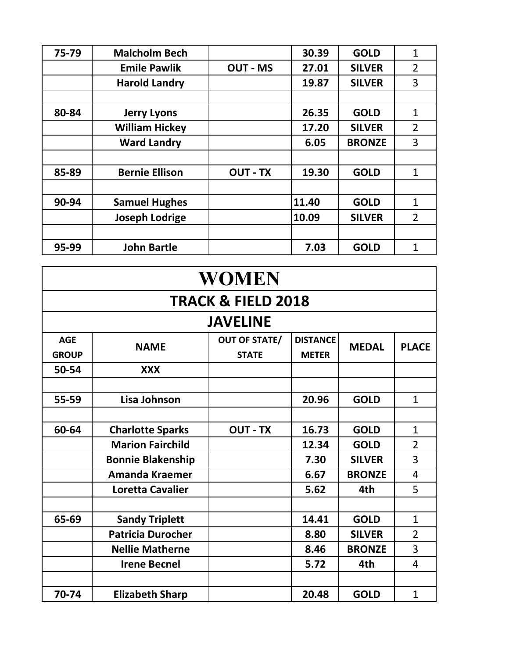| 75-79 | <b>Malcholm Bech</b>  |                 | 30.39 | <b>GOLD</b>   | $\mathbf{1}$   |
|-------|-----------------------|-----------------|-------|---------------|----------------|
|       | <b>Emile Pawlik</b>   | <b>OUT - MS</b> | 27.01 | <b>SILVER</b> | 2              |
|       | <b>Harold Landry</b>  |                 | 19.87 | <b>SILVER</b> | 3              |
|       |                       |                 |       |               |                |
| 80-84 | <b>Jerry Lyons</b>    |                 | 26.35 | <b>GOLD</b>   | $\mathbf{1}$   |
|       | <b>William Hickey</b> |                 | 17.20 | <b>SILVER</b> | $\overline{2}$ |
|       | <b>Ward Landry</b>    |                 | 6.05  | <b>BRONZE</b> | 3              |
|       |                       |                 |       |               |                |
| 85-89 | <b>Bernie Ellison</b> | <b>OUT - TX</b> | 19.30 | <b>GOLD</b>   | $\mathbf{1}$   |
|       |                       |                 |       |               |                |
| 90-94 | <b>Samuel Hughes</b>  |                 | 11.40 | <b>GOLD</b>   | $\mathbf{1}$   |
|       | <b>Joseph Lodrige</b> |                 | 10.09 | <b>SILVER</b> | $\overline{2}$ |
|       |                       |                 |       |               |                |
| 95-99 | <b>John Bartle</b>    |                 | 7.03  | <b>GOLD</b>   | $\mathbf 1$    |

| <b>WOMEN</b>                  |                          |                                      |                                 |               |                |  |  |  |
|-------------------------------|--------------------------|--------------------------------------|---------------------------------|---------------|----------------|--|--|--|
| <b>TRACK &amp; FIELD 2018</b> |                          |                                      |                                 |               |                |  |  |  |
|                               |                          | <b>JAVELINE</b>                      |                                 |               |                |  |  |  |
| <b>AGE</b><br><b>GROUP</b>    | <b>NAME</b>              | <b>OUT OF STATE/</b><br><b>STATE</b> | <b>DISTANCE</b><br><b>METER</b> | <b>MEDAL</b>  | <b>PLACE</b>   |  |  |  |
| 50-54                         | <b>XXX</b>               |                                      |                                 |               |                |  |  |  |
|                               |                          |                                      |                                 |               |                |  |  |  |
| 55-59                         | Lisa Johnson             |                                      | 20.96                           | <b>GOLD</b>   | $\mathbf{1}$   |  |  |  |
|                               |                          |                                      |                                 |               |                |  |  |  |
| 60-64                         | <b>Charlotte Sparks</b>  | <b>OUT - TX</b>                      | 16.73                           | <b>GOLD</b>   | $\mathbf{1}$   |  |  |  |
|                               | <b>Marion Fairchild</b>  |                                      | 12.34                           | <b>GOLD</b>   | $\overline{2}$ |  |  |  |
|                               | <b>Bonnie Blakenship</b> |                                      | 7.30                            | <b>SILVER</b> | 3              |  |  |  |
|                               | <b>Amanda Kraemer</b>    |                                      | 6.67                            | <b>BRONZE</b> | 4              |  |  |  |
|                               | <b>Loretta Cavalier</b>  |                                      | 5.62                            | 4th           | 5              |  |  |  |
|                               |                          |                                      |                                 |               |                |  |  |  |
| 65-69                         | <b>Sandy Triplett</b>    |                                      | 14.41                           | <b>GOLD</b>   | $\mathbf{1}$   |  |  |  |
|                               | <b>Patricia Durocher</b> |                                      | 8.80                            | <b>SILVER</b> | $\overline{2}$ |  |  |  |
|                               | <b>Nellie Matherne</b>   |                                      | 8.46                            | <b>BRONZE</b> | 3              |  |  |  |
|                               | <b>Irene Becnel</b>      |                                      | 5.72                            | 4th           | 4              |  |  |  |
|                               |                          |                                      |                                 |               |                |  |  |  |
| 70-74                         | <b>Elizabeth Sharp</b>   |                                      | 20.48                           | <b>GOLD</b>   | $\mathbf{1}$   |  |  |  |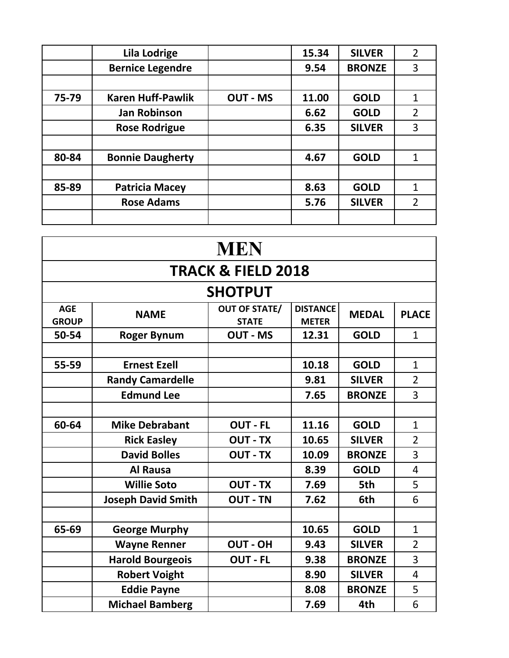|       | <b>Lila Lodrige</b>      |                 | 15.34 | <b>SILVER</b> | $\overline{2}$ |
|-------|--------------------------|-----------------|-------|---------------|----------------|
|       | <b>Bernice Legendre</b>  |                 | 9.54  | <b>BRONZE</b> | 3              |
|       |                          |                 |       |               |                |
| 75-79 | <b>Karen Huff-Pawlik</b> | <b>OUT - MS</b> | 11.00 | <b>GOLD</b>   | $\mathbf 1$    |
|       | <b>Jan Robinson</b>      |                 | 6.62  | <b>GOLD</b>   | $\overline{2}$ |
|       | <b>Rose Rodrigue</b>     |                 | 6.35  | <b>SILVER</b> | 3              |
|       |                          |                 |       |               |                |
| 80-84 | <b>Bonnie Daugherty</b>  |                 | 4.67  | <b>GOLD</b>   | 1              |
|       |                          |                 |       |               |                |
| 85-89 | <b>Patricia Macey</b>    |                 | 8.63  | <b>GOLD</b>   | $\mathbf{1}$   |
|       | <b>Rose Adams</b>        |                 | 5.76  | <b>SILVER</b> | $\overline{2}$ |
|       |                          |                 |       |               |                |

|                               | <b>MEN</b>                |                                      |                                 |               |                |  |  |  |
|-------------------------------|---------------------------|--------------------------------------|---------------------------------|---------------|----------------|--|--|--|
| <b>TRACK &amp; FIELD 2018</b> |                           |                                      |                                 |               |                |  |  |  |
|                               |                           | <b>SHOTPUT</b>                       |                                 |               |                |  |  |  |
| <b>AGE</b><br><b>GROUP</b>    | <b>NAME</b>               | <b>OUT OF STATE/</b><br><b>STATE</b> | <b>DISTANCE</b><br><b>METER</b> | <b>MEDAL</b>  | <b>PLACE</b>   |  |  |  |
| 50-54                         | <b>Roger Bynum</b>        | <b>OUT - MS</b>                      | 12.31                           | <b>GOLD</b>   | $\mathbf{1}$   |  |  |  |
|                               |                           |                                      |                                 |               |                |  |  |  |
| 55-59                         | <b>Ernest Ezell</b>       |                                      | 10.18                           | <b>GOLD</b>   | $\mathbf{1}$   |  |  |  |
|                               | <b>Randy Camardelle</b>   |                                      | 9.81                            | <b>SILVER</b> | $\overline{2}$ |  |  |  |
|                               | <b>Edmund Lee</b>         |                                      | 7.65                            | <b>BRONZE</b> | 3              |  |  |  |
|                               |                           |                                      |                                 |               |                |  |  |  |
| 60-64                         | <b>Mike Debrabant</b>     | <b>OUT - FL</b>                      | 11.16                           | <b>GOLD</b>   | $\mathbf{1}$   |  |  |  |
|                               | <b>Rick Easley</b>        | <b>OUT - TX</b>                      | 10.65                           | <b>SILVER</b> | $\overline{2}$ |  |  |  |
|                               | <b>David Bolles</b>       | <b>OUT - TX</b>                      | 10.09                           | <b>BRONZE</b> | 3              |  |  |  |
|                               | <b>Al Rausa</b>           |                                      | 8.39                            | <b>GOLD</b>   | 4              |  |  |  |
|                               | <b>Willie Soto</b>        | <b>OUT - TX</b>                      | 7.69                            | 5th           | 5              |  |  |  |
|                               | <b>Joseph David Smith</b> | <b>OUT - TN</b>                      | 7.62                            | 6th           | 6              |  |  |  |
|                               |                           |                                      |                                 |               |                |  |  |  |
| 65-69                         | <b>George Murphy</b>      |                                      | 10.65                           | <b>GOLD</b>   | $\mathbf{1}$   |  |  |  |
|                               | <b>Wayne Renner</b>       | <b>OUT - OH</b>                      | 9.43                            | <b>SILVER</b> | $\overline{2}$ |  |  |  |
|                               | <b>Harold Bourgeois</b>   | <b>OUT - FL</b>                      | 9.38                            | <b>BRONZE</b> | 3              |  |  |  |
|                               | <b>Robert Voight</b>      |                                      | 8.90                            | <b>SILVER</b> | 4              |  |  |  |
|                               | <b>Eddie Payne</b>        |                                      | 8.08                            | <b>BRONZE</b> | 5              |  |  |  |
|                               | <b>Michael Bamberg</b>    |                                      | 7.69                            | 4th           | 6              |  |  |  |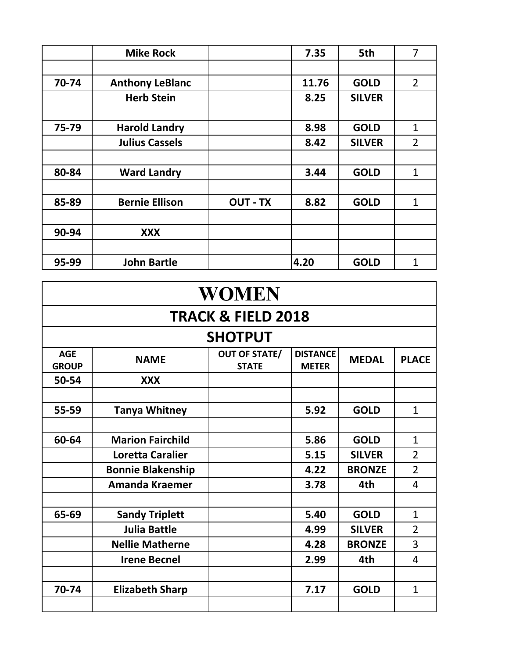|       | <b>Mike Rock</b>       |                 | 7.35  | 5th           | 7              |
|-------|------------------------|-----------------|-------|---------------|----------------|
|       |                        |                 |       |               |                |
| 70-74 | <b>Anthony LeBlanc</b> |                 | 11.76 | <b>GOLD</b>   | $\overline{2}$ |
|       | <b>Herb Stein</b>      |                 | 8.25  | <b>SILVER</b> |                |
|       |                        |                 |       |               |                |
| 75-79 | <b>Harold Landry</b>   |                 | 8.98  | <b>GOLD</b>   | $\mathbf{1}$   |
|       | <b>Julius Cassels</b>  |                 | 8.42  | <b>SILVER</b> | $\overline{2}$ |
|       |                        |                 |       |               |                |
| 80-84 | <b>Ward Landry</b>     |                 | 3.44  | <b>GOLD</b>   | $\mathbf{1}$   |
|       |                        |                 |       |               |                |
| 85-89 | <b>Bernie Ellison</b>  | <b>OUT - TX</b> | 8.82  | <b>GOLD</b>   | 1              |
|       |                        |                 |       |               |                |
| 90-94 | <b>XXX</b>             |                 |       |               |                |
|       |                        |                 |       |               |                |
| 95-99 | <b>John Bartle</b>     |                 | 4.20  | <b>GOLD</b>   | 1              |

| <b>WOMEN</b>               |                               |                                      |                                 |               |                |  |  |  |  |
|----------------------------|-------------------------------|--------------------------------------|---------------------------------|---------------|----------------|--|--|--|--|
|                            | <b>TRACK &amp; FIELD 2018</b> |                                      |                                 |               |                |  |  |  |  |
|                            | <b>SHOTPUT</b>                |                                      |                                 |               |                |  |  |  |  |
| <b>AGE</b><br><b>GROUP</b> | <b>NAME</b>                   | <b>OUT OF STATE/</b><br><b>STATE</b> | <b>DISTANCE</b><br><b>METER</b> | <b>MEDAL</b>  | <b>PLACE</b>   |  |  |  |  |
| 50-54                      | <b>XXX</b>                    |                                      |                                 |               |                |  |  |  |  |
|                            |                               |                                      |                                 |               |                |  |  |  |  |
| 55-59                      | <b>Tanya Whitney</b>          |                                      | 5.92                            | <b>GOLD</b>   | $\mathbf{1}$   |  |  |  |  |
|                            |                               |                                      |                                 |               |                |  |  |  |  |
| 60-64                      | <b>Marion Fairchild</b>       |                                      | 5.86                            | <b>GOLD</b>   | $\mathbf{1}$   |  |  |  |  |
|                            | <b>Loretta Caralier</b>       |                                      | 5.15                            | <b>SILVER</b> | $\overline{2}$ |  |  |  |  |
|                            | <b>Bonnie Blakenship</b>      |                                      | 4.22                            | <b>BRONZE</b> | $\overline{2}$ |  |  |  |  |
|                            | <b>Amanda Kraemer</b>         |                                      | 3.78                            | 4th           | 4              |  |  |  |  |
|                            |                               |                                      |                                 |               |                |  |  |  |  |
| 65-69                      | <b>Sandy Triplett</b>         |                                      | 5.40                            | <b>GOLD</b>   | $\mathbf{1}$   |  |  |  |  |
|                            | <b>Julia Battle</b>           |                                      | 4.99                            | <b>SILVER</b> | $\overline{2}$ |  |  |  |  |
|                            | <b>Nellie Matherne</b>        |                                      | 4.28                            | <b>BRONZE</b> | 3              |  |  |  |  |
|                            | <b>Irene Becnel</b>           |                                      | 2.99                            | 4th           | 4              |  |  |  |  |
|                            |                               |                                      |                                 |               |                |  |  |  |  |
| 70-74                      | <b>Elizabeth Sharp</b>        |                                      | 7.17                            | <b>GOLD</b>   | $\mathbf{1}$   |  |  |  |  |
|                            |                               |                                      |                                 |               |                |  |  |  |  |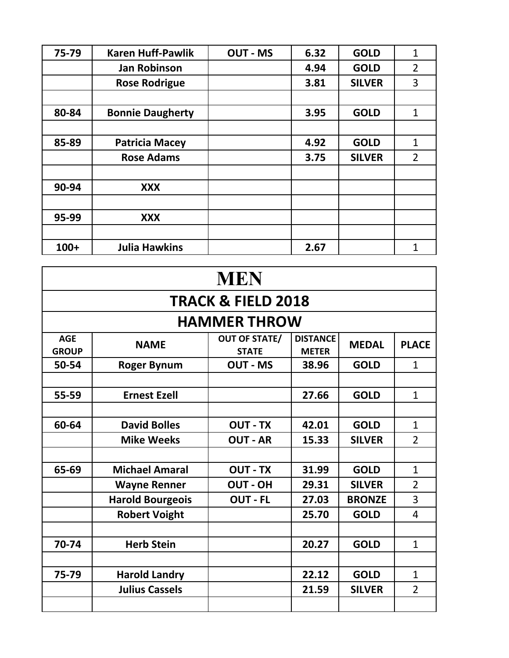| 75-79  | <b>Karen Huff-Pawlik</b> | <b>OUT - MS</b> | 6.32 | <b>GOLD</b>   | $\mathbf{1}$   |
|--------|--------------------------|-----------------|------|---------------|----------------|
|        | <b>Jan Robinson</b>      |                 | 4.94 | <b>GOLD</b>   | $\overline{2}$ |
|        | <b>Rose Rodrigue</b>     |                 | 3.81 | <b>SILVER</b> | 3              |
|        |                          |                 |      |               |                |
| 80-84  | <b>Bonnie Daugherty</b>  |                 | 3.95 | <b>GOLD</b>   | $\mathbf{1}$   |
|        |                          |                 |      |               |                |
| 85-89  | <b>Patricia Macey</b>    |                 | 4.92 | <b>GOLD</b>   | 1              |
|        | <b>Rose Adams</b>        |                 | 3.75 | <b>SILVER</b> | $\overline{2}$ |
|        |                          |                 |      |               |                |
| 90-94  | <b>XXX</b>               |                 |      |               |                |
|        |                          |                 |      |               |                |
| 95-99  | XXX                      |                 |      |               |                |
|        |                          |                 |      |               |                |
| $100+$ | <b>Julia Hawkins</b>     |                 | 2.67 |               | $\overline{1}$ |

| <b>MEN</b>                 |                               |                                      |                                 |               |                |  |  |  |  |
|----------------------------|-------------------------------|--------------------------------------|---------------------------------|---------------|----------------|--|--|--|--|
|                            | <b>TRACK &amp; FIELD 2018</b> |                                      |                                 |               |                |  |  |  |  |
|                            |                               | <b>HAMMER THROW</b>                  |                                 |               |                |  |  |  |  |
| <b>AGE</b><br><b>GROUP</b> | <b>NAME</b>                   | <b>OUT OF STATE/</b><br><b>STATE</b> | <b>DISTANCE</b><br><b>METER</b> | <b>MEDAL</b>  | <b>PLACE</b>   |  |  |  |  |
| 50-54                      | <b>Roger Bynum</b>            | <b>OUT - MS</b>                      | 38.96                           | <b>GOLD</b>   | $\mathbf{1}$   |  |  |  |  |
|                            |                               |                                      |                                 |               |                |  |  |  |  |
| 55-59                      | <b>Ernest Ezell</b>           |                                      | 27.66                           | <b>GOLD</b>   | $\mathbf{1}$   |  |  |  |  |
|                            |                               |                                      |                                 |               |                |  |  |  |  |
| 60-64                      | <b>David Bolles</b>           | <b>OUT - TX</b>                      | 42.01                           | <b>GOLD</b>   | $\mathbf{1}$   |  |  |  |  |
|                            | <b>Mike Weeks</b>             | <b>OUT - AR</b>                      | 15.33                           | <b>SILVER</b> | $\overline{2}$ |  |  |  |  |
|                            |                               |                                      |                                 |               |                |  |  |  |  |
| 65-69                      | <b>Michael Amaral</b>         | <b>OUT - TX</b>                      | 31.99                           | <b>GOLD</b>   | $\mathbf{1}$   |  |  |  |  |
|                            | <b>Wayne Renner</b>           | <b>OUT-OH</b>                        | 29.31                           | <b>SILVER</b> | $\overline{2}$ |  |  |  |  |
|                            | <b>Harold Bourgeois</b>       | <b>OUT - FL</b>                      | 27.03                           | <b>BRONZE</b> | 3              |  |  |  |  |
|                            | <b>Robert Voight</b>          |                                      | 25.70                           | <b>GOLD</b>   | 4              |  |  |  |  |
|                            |                               |                                      |                                 |               |                |  |  |  |  |
| 70-74                      | <b>Herb Stein</b>             |                                      | 20.27                           | <b>GOLD</b>   | $\mathbf{1}$   |  |  |  |  |
|                            |                               |                                      |                                 |               |                |  |  |  |  |
| 75-79                      | <b>Harold Landry</b>          |                                      | 22.12                           | <b>GOLD</b>   | $\mathbf{1}$   |  |  |  |  |
|                            | <b>Julius Cassels</b>         |                                      | 21.59                           | <b>SILVER</b> | $\overline{2}$ |  |  |  |  |
|                            |                               |                                      |                                 |               |                |  |  |  |  |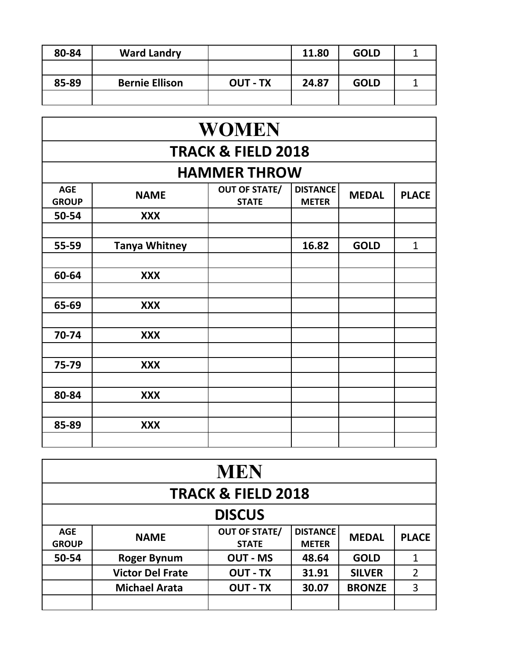| 80-84 | <b>Ward Landry</b>    |                 | 11.80 | <b>GOLD</b> |  |
|-------|-----------------------|-----------------|-------|-------------|--|
|       |                       |                 |       |             |  |
| 85-89 | <b>Bernie Ellison</b> | <b>OUT - TX</b> | 24.87 | <b>GOLD</b> |  |
|       |                       |                 |       |             |  |

| <b>WOMEN</b>               |                               |                                      |                                 |              |              |  |  |  |  |  |
|----------------------------|-------------------------------|--------------------------------------|---------------------------------|--------------|--------------|--|--|--|--|--|
|                            | <b>TRACK &amp; FIELD 2018</b> |                                      |                                 |              |              |  |  |  |  |  |
|                            |                               | <b>HAMMER THROW</b>                  |                                 |              |              |  |  |  |  |  |
| <b>AGE</b><br><b>GROUP</b> | <b>NAME</b>                   | <b>OUT OF STATE/</b><br><b>STATE</b> | <b>DISTANCE</b><br><b>METER</b> | <b>MEDAL</b> | <b>PLACE</b> |  |  |  |  |  |
| 50-54                      | <b>XXX</b>                    |                                      |                                 |              |              |  |  |  |  |  |
|                            |                               |                                      |                                 |              |              |  |  |  |  |  |
| 55-59                      | <b>Tanya Whitney</b>          |                                      | 16.82                           | <b>GOLD</b>  | $\mathbf{1}$ |  |  |  |  |  |
|                            |                               |                                      |                                 |              |              |  |  |  |  |  |
| 60-64                      | <b>XXX</b>                    |                                      |                                 |              |              |  |  |  |  |  |
|                            |                               |                                      |                                 |              |              |  |  |  |  |  |
| 65-69                      | <b>XXX</b>                    |                                      |                                 |              |              |  |  |  |  |  |
|                            |                               |                                      |                                 |              |              |  |  |  |  |  |
| 70-74                      | <b>XXX</b>                    |                                      |                                 |              |              |  |  |  |  |  |
|                            |                               |                                      |                                 |              |              |  |  |  |  |  |
| 75-79                      | <b>XXX</b>                    |                                      |                                 |              |              |  |  |  |  |  |
|                            |                               |                                      |                                 |              |              |  |  |  |  |  |
| 80-84                      | <b>XXX</b>                    |                                      |                                 |              |              |  |  |  |  |  |
|                            |                               |                                      |                                 |              |              |  |  |  |  |  |
| 85-89                      | <b>XXX</b>                    |                                      |                                 |              |              |  |  |  |  |  |
|                            |                               |                                      |                                 |              |              |  |  |  |  |  |

| <b>MEN</b>                    |                         |                                      |                                 |               |                |  |  |  |
|-------------------------------|-------------------------|--------------------------------------|---------------------------------|---------------|----------------|--|--|--|
| <b>TRACK &amp; FIELD 2018</b> |                         |                                      |                                 |               |                |  |  |  |
|                               | <b>DISCUS</b>           |                                      |                                 |               |                |  |  |  |
| <b>AGE</b><br><b>GROUP</b>    | <b>NAME</b>             | <b>OUT OF STATE/</b><br><b>STATE</b> | <b>DISTANCE</b><br><b>METER</b> | <b>MEDAL</b>  | <b>PLACE</b>   |  |  |  |
| 50-54                         | <b>Roger Bynum</b>      | <b>OUT - MS</b>                      | 48.64                           | <b>GOLD</b>   |                |  |  |  |
|                               | <b>Victor Del Frate</b> | <b>OUT - TX</b>                      | 31.91                           | <b>SILVER</b> | $\overline{2}$ |  |  |  |
|                               | <b>Michael Arata</b>    | <b>OUT - TX</b>                      | 30.07                           | <b>BRONZE</b> | 3              |  |  |  |
|                               |                         |                                      |                                 |               |                |  |  |  |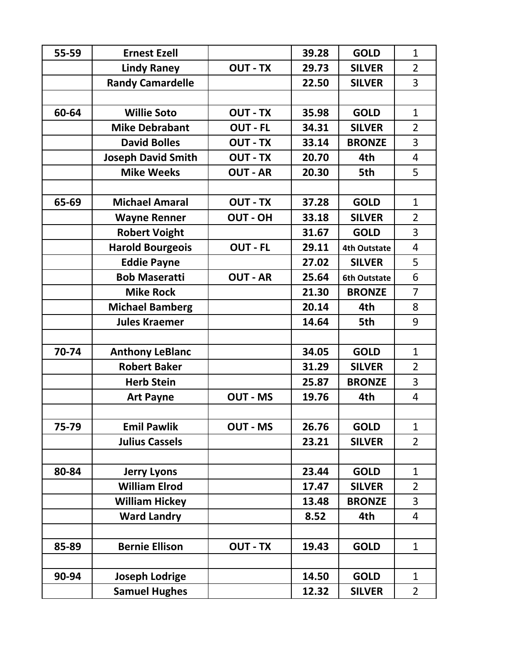| 55-59 | <b>Ernest Ezell</b>       |                 | 39.28 | <b>GOLD</b>         | $\mathbf{1}$   |
|-------|---------------------------|-----------------|-------|---------------------|----------------|
|       | <b>Lindy Raney</b>        | <b>OUT - TX</b> | 29.73 | <b>SILVER</b>       | $\overline{2}$ |
|       | <b>Randy Camardelle</b>   |                 | 22.50 | <b>SILVER</b>       | 3              |
|       |                           |                 |       |                     |                |
| 60-64 | <b>Willie Soto</b>        | <b>OUT - TX</b> | 35.98 | <b>GOLD</b>         | $\mathbf{1}$   |
|       | <b>Mike Debrabant</b>     | <b>OUT - FL</b> | 34.31 | <b>SILVER</b>       | $\overline{2}$ |
|       | <b>David Bolles</b>       | <b>OUT - TX</b> | 33.14 | <b>BRONZE</b>       | 3              |
|       | <b>Joseph David Smith</b> | <b>OUT - TX</b> | 20.70 | 4th                 | $\overline{4}$ |
|       | <b>Mike Weeks</b>         | <b>OUT - AR</b> | 20.30 | 5th                 | 5              |
|       |                           |                 |       |                     |                |
| 65-69 | <b>Michael Amaral</b>     | <b>OUT - TX</b> | 37.28 | <b>GOLD</b>         | $\mathbf{1}$   |
|       | <b>Wayne Renner</b>       | <b>OUT - OH</b> | 33.18 | <b>SILVER</b>       | $\overline{2}$ |
|       | <b>Robert Voight</b>      |                 | 31.67 | <b>GOLD</b>         | 3              |
|       | <b>Harold Bourgeois</b>   | <b>OUT - FL</b> | 29.11 | <b>4th Outstate</b> | $\overline{4}$ |
|       | <b>Eddie Payne</b>        |                 | 27.02 | <b>SILVER</b>       | 5              |
|       | <b>Bob Maseratti</b>      | <b>OUT - AR</b> | 25.64 | <b>6th Outstate</b> | 6              |
|       | <b>Mike Rock</b>          |                 | 21.30 | <b>BRONZE</b>       | $\overline{7}$ |
|       | <b>Michael Bamberg</b>    |                 | 20.14 | 4th                 | 8              |
|       | <b>Jules Kraemer</b>      |                 | 14.64 | 5th                 | 9              |
|       |                           |                 |       |                     |                |
| 70-74 | <b>Anthony LeBlanc</b>    |                 | 34.05 | <b>GOLD</b>         | $\mathbf{1}$   |
|       | <b>Robert Baker</b>       |                 | 31.29 | <b>SILVER</b>       | $\overline{2}$ |
|       | <b>Herb Stein</b>         |                 | 25.87 | <b>BRONZE</b>       | 3              |
|       | <b>Art Payne</b>          | <b>OUT - MS</b> | 19.76 | 4th                 | $\overline{4}$ |
|       |                           |                 |       |                     |                |
| 75-79 | <b>Emil Pawlik</b>        | <b>OUT - MS</b> | 26.76 | <b>GOLD</b>         | $\mathbf{1}$   |
|       | <b>Julius Cassels</b>     |                 | 23.21 | <b>SILVER</b>       | $\overline{2}$ |
|       |                           |                 |       |                     |                |
| 80-84 | <b>Jerry Lyons</b>        |                 | 23.44 | <b>GOLD</b>         | $\mathbf{1}$   |
|       | <b>William Elrod</b>      |                 | 17.47 | <b>SILVER</b>       | $\overline{2}$ |
|       | <b>William Hickey</b>     |                 | 13.48 | <b>BRONZE</b>       | 3              |
|       | <b>Ward Landry</b>        |                 | 8.52  | 4th                 | $\overline{4}$ |
|       |                           |                 |       |                     |                |
| 85-89 | <b>Bernie Ellison</b>     | <b>OUT - TX</b> | 19.43 | <b>GOLD</b>         | $\mathbf{1}$   |
|       |                           |                 |       |                     |                |
| 90-94 | <b>Joseph Lodrige</b>     |                 | 14.50 | <b>GOLD</b>         | $\mathbf{1}$   |
|       | <b>Samuel Hughes</b>      |                 | 12.32 | <b>SILVER</b>       | $\overline{2}$ |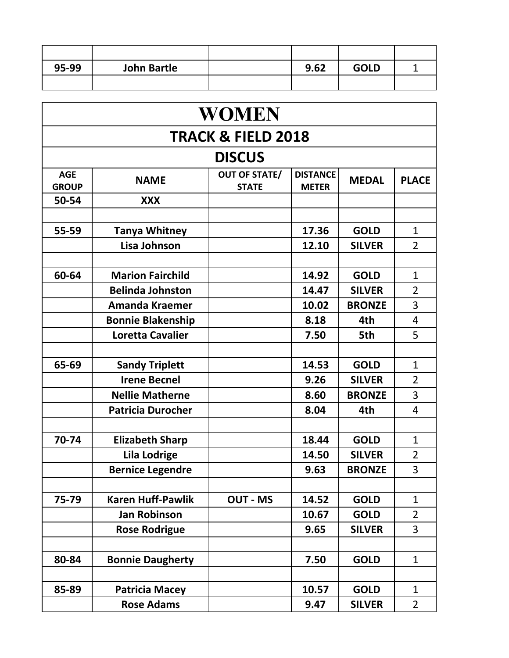| 95-99 | <b>John Bartle</b> | 9.62 | <b>GOLD</b> |  |
|-------|--------------------|------|-------------|--|
|       |                    |      |             |  |

| <b>WOMEN</b>                  |                          |                                      |                                 |               |                |  |  |  |
|-------------------------------|--------------------------|--------------------------------------|---------------------------------|---------------|----------------|--|--|--|
| <b>TRACK &amp; FIELD 2018</b> |                          |                                      |                                 |               |                |  |  |  |
|                               |                          | <b>DISCUS</b>                        |                                 |               |                |  |  |  |
| <b>AGE</b><br><b>GROUP</b>    | <b>NAME</b>              | <b>OUT OF STATE/</b><br><b>STATE</b> | <b>DISTANCE</b><br><b>METER</b> | <b>MEDAL</b>  | <b>PLACE</b>   |  |  |  |
| 50-54                         | <b>XXX</b>               |                                      |                                 |               |                |  |  |  |
|                               |                          |                                      |                                 |               |                |  |  |  |
| 55-59                         | <b>Tanya Whitney</b>     |                                      | 17.36                           | <b>GOLD</b>   | $\mathbf{1}$   |  |  |  |
|                               | Lisa Johnson             |                                      | 12.10                           | <b>SILVER</b> | $\overline{2}$ |  |  |  |
|                               |                          |                                      |                                 |               |                |  |  |  |
| 60-64                         | <b>Marion Fairchild</b>  |                                      | 14.92                           | <b>GOLD</b>   | $\mathbf{1}$   |  |  |  |
|                               | <b>Belinda Johnston</b>  |                                      | 14.47                           | <b>SILVER</b> | $\overline{2}$ |  |  |  |
|                               | <b>Amanda Kraemer</b>    |                                      | 10.02                           | <b>BRONZE</b> | 3              |  |  |  |
|                               | <b>Bonnie Blakenship</b> |                                      | 8.18                            | 4th           | 4              |  |  |  |
|                               | <b>Loretta Cavalier</b>  |                                      | 7.50                            | 5th           | 5              |  |  |  |
|                               |                          |                                      |                                 |               |                |  |  |  |
| 65-69                         | <b>Sandy Triplett</b>    |                                      | 14.53                           | <b>GOLD</b>   | $\mathbf{1}$   |  |  |  |
|                               | <b>Irene Becnel</b>      |                                      | 9.26                            | <b>SILVER</b> | $\overline{2}$ |  |  |  |
|                               | <b>Nellie Matherne</b>   |                                      | 8.60                            | <b>BRONZE</b> | 3              |  |  |  |
|                               | <b>Patricia Durocher</b> |                                      | 8.04                            | 4th           | 4              |  |  |  |
|                               |                          |                                      |                                 |               |                |  |  |  |
| 70-74                         | <b>Elizabeth Sharp</b>   |                                      | 18.44                           | <b>GOLD</b>   | $\mathbf{1}$   |  |  |  |
|                               | <b>Lila Lodrige</b>      |                                      | 14.50                           | <b>SILVER</b> | $\overline{2}$ |  |  |  |
|                               | <b>Bernice Legendre</b>  |                                      | 9.63                            | <b>BRONZE</b> | 3              |  |  |  |
|                               |                          |                                      |                                 |               |                |  |  |  |
| 75-79                         | <b>Karen Huff-Pawlik</b> | <b>OUT - MS</b>                      | 14.52                           | <b>GOLD</b>   | $\mathbf{1}$   |  |  |  |
|                               | <b>Jan Robinson</b>      |                                      | 10.67                           | <b>GOLD</b>   | $\overline{2}$ |  |  |  |
|                               | <b>Rose Rodrigue</b>     |                                      | 9.65                            | <b>SILVER</b> | 3              |  |  |  |
|                               |                          |                                      |                                 |               |                |  |  |  |
| 80-84                         | <b>Bonnie Daugherty</b>  |                                      | 7.50                            | <b>GOLD</b>   | $\mathbf{1}$   |  |  |  |
|                               |                          |                                      |                                 |               |                |  |  |  |
| 85-89                         | <b>Patricia Macey</b>    |                                      | 10.57                           | <b>GOLD</b>   | $\mathbf{1}$   |  |  |  |
|                               | <b>Rose Adams</b>        |                                      | 9.47                            | <b>SILVER</b> | $\overline{2}$ |  |  |  |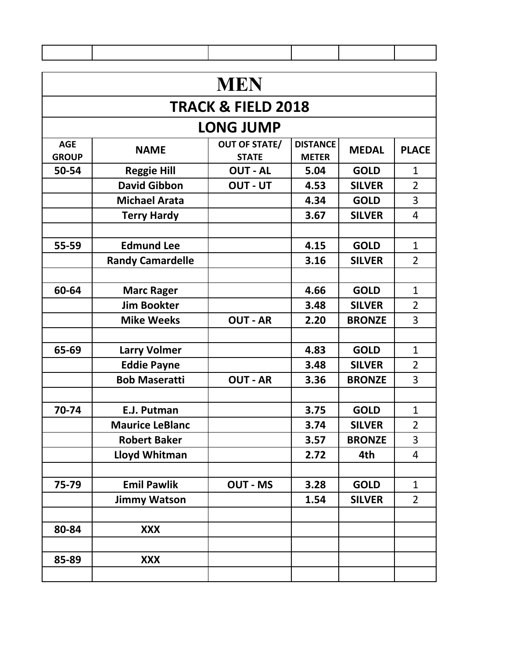| <b>MEN</b>                 |                         |                                      |                                 |               |                |  |  |  |
|----------------------------|-------------------------|--------------------------------------|---------------------------------|---------------|----------------|--|--|--|
|                            |                         | <b>TRACK &amp; FIELD 2018</b>        |                                 |               |                |  |  |  |
|                            |                         | <b>LONG JUMP</b>                     |                                 |               |                |  |  |  |
| <b>AGE</b><br><b>GROUP</b> | <b>NAME</b>             | <b>OUT OF STATE/</b><br><b>STATE</b> | <b>DISTANCE</b><br><b>METER</b> | <b>MEDAL</b>  | <b>PLACE</b>   |  |  |  |
| 50-54                      | <b>Reggie Hill</b>      | <b>OUT - AL</b>                      | 5.04                            | <b>GOLD</b>   | $\mathbf{1}$   |  |  |  |
|                            | <b>David Gibbon</b>     | <b>OUT - UT</b>                      | 4.53                            | <b>SILVER</b> | $\overline{2}$ |  |  |  |
|                            | <b>Michael Arata</b>    |                                      | 4.34                            | <b>GOLD</b>   | 3              |  |  |  |
|                            | <b>Terry Hardy</b>      |                                      | 3.67                            | <b>SILVER</b> | 4              |  |  |  |
|                            |                         |                                      |                                 |               |                |  |  |  |
| 55-59                      | <b>Edmund Lee</b>       |                                      | 4.15                            | <b>GOLD</b>   | $\mathbf{1}$   |  |  |  |
|                            | <b>Randy Camardelle</b> |                                      | 3.16                            | <b>SILVER</b> | $\overline{2}$ |  |  |  |
|                            |                         |                                      |                                 |               |                |  |  |  |
| 60-64                      | <b>Marc Rager</b>       |                                      | 4.66                            | <b>GOLD</b>   | $\mathbf{1}$   |  |  |  |
|                            | <b>Jim Bookter</b>      |                                      | 3.48                            | <b>SILVER</b> | $\overline{2}$ |  |  |  |
|                            | <b>Mike Weeks</b>       | <b>OUT - AR</b>                      | 2.20                            | <b>BRONZE</b> | $\overline{3}$ |  |  |  |
|                            |                         |                                      |                                 |               |                |  |  |  |
| 65-69                      | <b>Larry Volmer</b>     |                                      | 4.83                            | <b>GOLD</b>   | $\mathbf{1}$   |  |  |  |
|                            | <b>Eddie Payne</b>      |                                      | 3.48                            | <b>SILVER</b> | $\overline{2}$ |  |  |  |
|                            | <b>Bob Maseratti</b>    | <b>OUT - AR</b>                      | 3.36                            | <b>BRONZE</b> | 3              |  |  |  |
|                            |                         |                                      |                                 |               |                |  |  |  |
| 70-74                      | E.J. Putman             |                                      | 3.75                            | <b>GOLD</b>   | $\mathbf{1}$   |  |  |  |
|                            | <b>Maurice LeBlanc</b>  |                                      | 3.74                            | <b>SILVER</b> | $\overline{2}$ |  |  |  |
|                            | <b>Robert Baker</b>     |                                      | 3.57                            | <b>BRONZE</b> | $\overline{3}$ |  |  |  |
|                            | Lloyd Whitman           |                                      | 2.72                            | 4th           | $\overline{4}$ |  |  |  |
|                            |                         |                                      |                                 |               |                |  |  |  |
| 75-79                      | <b>Emil Pawlik</b>      | <b>OUT - MS</b>                      | 3.28                            | <b>GOLD</b>   | $\mathbf{1}$   |  |  |  |
|                            | <b>Jimmy Watson</b>     |                                      | 1.54                            | <b>SILVER</b> | $\overline{2}$ |  |  |  |
|                            |                         |                                      |                                 |               |                |  |  |  |
| 80-84                      | <b>XXX</b>              |                                      |                                 |               |                |  |  |  |
|                            |                         |                                      |                                 |               |                |  |  |  |
| 85-89                      | <b>XXX</b>              |                                      |                                 |               |                |  |  |  |
|                            |                         |                                      |                                 |               |                |  |  |  |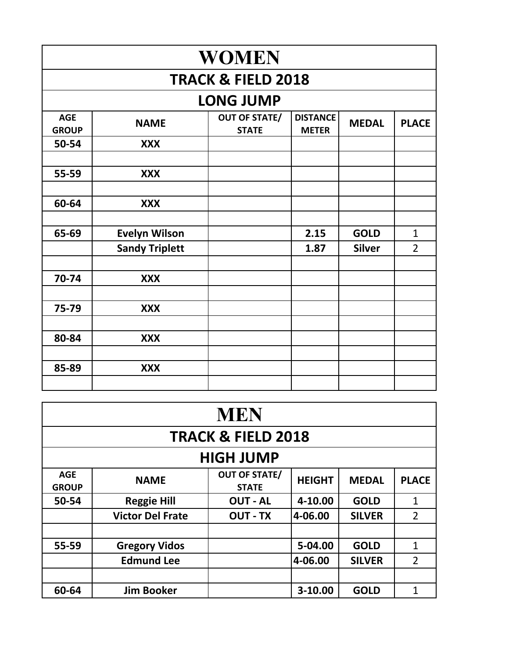| <b>WOMEN</b>               |                               |                                      |                                 |               |                |  |  |  |  |
|----------------------------|-------------------------------|--------------------------------------|---------------------------------|---------------|----------------|--|--|--|--|
|                            | <b>TRACK &amp; FIELD 2018</b> |                                      |                                 |               |                |  |  |  |  |
|                            |                               | <b>LONG JUMP</b>                     |                                 |               |                |  |  |  |  |
| <b>AGE</b><br><b>GROUP</b> | <b>NAME</b>                   | <b>OUT OF STATE/</b><br><b>STATE</b> | <b>DISTANCE</b><br><b>METER</b> | <b>MEDAL</b>  | <b>PLACE</b>   |  |  |  |  |
| 50-54                      | <b>XXX</b>                    |                                      |                                 |               |                |  |  |  |  |
| 55-59                      | <b>XXX</b>                    |                                      |                                 |               |                |  |  |  |  |
| 60-64                      | <b>XXX</b>                    |                                      |                                 |               |                |  |  |  |  |
| 65-69                      | <b>Evelyn Wilson</b>          |                                      | 2.15                            | <b>GOLD</b>   | $\mathbf{1}$   |  |  |  |  |
|                            | <b>Sandy Triplett</b>         |                                      | 1.87                            | <b>Silver</b> | $\overline{2}$ |  |  |  |  |
| 70-74                      | <b>XXX</b>                    |                                      |                                 |               |                |  |  |  |  |
| 75-79                      | <b>XXX</b>                    |                                      |                                 |               |                |  |  |  |  |
| 80-84                      | <b>XXX</b>                    |                                      |                                 |               |                |  |  |  |  |
| 85-89                      | <b>XXX</b>                    |                                      |                                 |               |                |  |  |  |  |
|                            |                               |                                      |                                 |               |                |  |  |  |  |

| <b>MEN</b>                    |                         |                                      |               |               |                |  |  |  |
|-------------------------------|-------------------------|--------------------------------------|---------------|---------------|----------------|--|--|--|
| <b>TRACK &amp; FIELD 2018</b> |                         |                                      |               |               |                |  |  |  |
| <b>HIGH JUMP</b>              |                         |                                      |               |               |                |  |  |  |
| <b>AGE</b><br><b>GROUP</b>    | <b>NAME</b>             | <b>OUT OF STATE/</b><br><b>STATE</b> | <b>HEIGHT</b> | <b>MEDAL</b>  | <b>PLACE</b>   |  |  |  |
| 50-54                         | <b>Reggie Hill</b>      | <b>OUT - AL</b>                      | 4-10.00       | <b>GOLD</b>   | $\mathbf{1}$   |  |  |  |
|                               | <b>Victor Del Frate</b> | <b>OUT - TX</b>                      | 4-06.00       | <b>SILVER</b> | $\overline{2}$ |  |  |  |
|                               |                         |                                      |               |               |                |  |  |  |
| 55-59                         | <b>Gregory Vidos</b>    |                                      | 5-04.00       | <b>GOLD</b>   | 1              |  |  |  |
|                               | <b>Edmund Lee</b>       |                                      | 4-06.00       | <b>SILVER</b> | $\overline{2}$ |  |  |  |
|                               |                         |                                      |               |               |                |  |  |  |
| 60-64                         | <b>Jim Booker</b>       |                                      | 3-10.00       | <b>GOLD</b>   | 1              |  |  |  |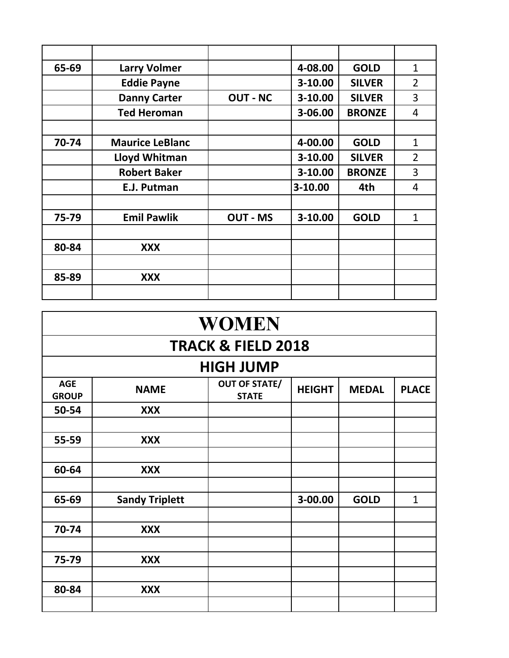| 65-69 | <b>Larry Volmer</b>    |                 | 4-08.00   | <b>GOLD</b>   | $\mathbf{1}$   |
|-------|------------------------|-----------------|-----------|---------------|----------------|
|       | <b>Eddie Payne</b>     |                 | 3-10.00   | <b>SILVER</b> | $\overline{2}$ |
|       | <b>Danny Carter</b>    | <b>OUT - NC</b> | 3-10.00   | <b>SILVER</b> | 3              |
|       | <b>Ted Heroman</b>     |                 | 3-06.00   | <b>BRONZE</b> | 4              |
|       |                        |                 |           |               |                |
| 70-74 | <b>Maurice LeBlanc</b> |                 | 4-00.00   | <b>GOLD</b>   | $\mathbf{1}$   |
|       | Lloyd Whitman          |                 | $3-10.00$ | <b>SILVER</b> | $\overline{2}$ |
|       | <b>Robert Baker</b>    |                 | $3-10.00$ | <b>BRONZE</b> | 3              |
|       | E.J. Putman            |                 | 3-10.00   | 4th           | 4              |
|       |                        |                 |           |               |                |
| 75-79 | <b>Emil Pawlik</b>     | <b>OUT - MS</b> | $3-10.00$ | <b>GOLD</b>   | $\mathbf{1}$   |
|       |                        |                 |           |               |                |
| 80-84 | <b>XXX</b>             |                 |           |               |                |
|       |                        |                 |           |               |                |
| 85-89 | XXX                    |                 |           |               |                |
|       |                        |                 |           |               |                |

| <b>WOMEN</b>               |                               |                                      |               |              |              |  |  |  |  |  |
|----------------------------|-------------------------------|--------------------------------------|---------------|--------------|--------------|--|--|--|--|--|
|                            | <b>TRACK &amp; FIELD 2018</b> |                                      |               |              |              |  |  |  |  |  |
|                            |                               | <b>HIGH JUMP</b>                     |               |              |              |  |  |  |  |  |
| <b>AGE</b><br><b>GROUP</b> | <b>NAME</b>                   | <b>OUT OF STATE/</b><br><b>STATE</b> | <b>HEIGHT</b> | <b>MEDAL</b> | <b>PLACE</b> |  |  |  |  |  |
| 50-54                      | <b>XXX</b>                    |                                      |               |              |              |  |  |  |  |  |
|                            |                               |                                      |               |              |              |  |  |  |  |  |
| 55-59                      | <b>XXX</b>                    |                                      |               |              |              |  |  |  |  |  |
|                            |                               |                                      |               |              |              |  |  |  |  |  |
| 60-64                      | <b>XXX</b>                    |                                      |               |              |              |  |  |  |  |  |
|                            |                               |                                      |               |              |              |  |  |  |  |  |
| 65-69                      | <b>Sandy Triplett</b>         |                                      | 3-00.00       | <b>GOLD</b>  | $\mathbf{1}$ |  |  |  |  |  |
|                            |                               |                                      |               |              |              |  |  |  |  |  |
| 70-74                      | <b>XXX</b>                    |                                      |               |              |              |  |  |  |  |  |
|                            |                               |                                      |               |              |              |  |  |  |  |  |
| 75-79                      | <b>XXX</b>                    |                                      |               |              |              |  |  |  |  |  |
|                            |                               |                                      |               |              |              |  |  |  |  |  |
| 80-84                      | <b>XXX</b>                    |                                      |               |              |              |  |  |  |  |  |
|                            |                               |                                      |               |              |              |  |  |  |  |  |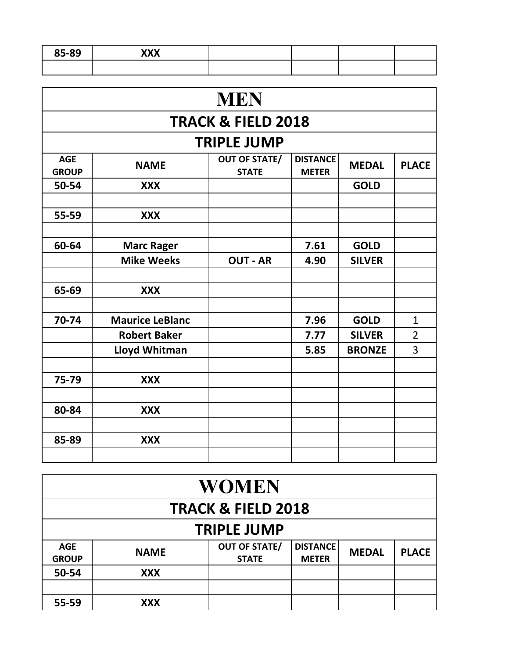| 85-89                      | <b>XXX</b>             |                                      |                                 |               |                |  |  |  |  |  |
|----------------------------|------------------------|--------------------------------------|---------------------------------|---------------|----------------|--|--|--|--|--|
|                            |                        |                                      |                                 |               |                |  |  |  |  |  |
|                            |                        |                                      |                                 |               |                |  |  |  |  |  |
|                            | <b>MEN</b>             |                                      |                                 |               |                |  |  |  |  |  |
|                            |                        | <b>TRACK &amp; FIELD 2018</b>        |                                 |               |                |  |  |  |  |  |
|                            |                        | <b>TRIPLE JUMP</b>                   |                                 |               |                |  |  |  |  |  |
| <b>AGE</b><br><b>GROUP</b> | <b>NAME</b>            | <b>OUT OF STATE/</b><br><b>STATE</b> | <b>DISTANCE</b><br><b>METER</b> | <b>MEDAL</b>  | <b>PLACE</b>   |  |  |  |  |  |
| 50-54                      | <b>XXX</b>             |                                      |                                 | <b>GOLD</b>   |                |  |  |  |  |  |
|                            |                        |                                      |                                 |               |                |  |  |  |  |  |
| 55-59                      | <b>XXX</b>             |                                      |                                 |               |                |  |  |  |  |  |
|                            |                        |                                      |                                 |               |                |  |  |  |  |  |
| 60-64                      | <b>Marc Rager</b>      |                                      | 7.61                            | <b>GOLD</b>   |                |  |  |  |  |  |
|                            | <b>Mike Weeks</b>      | <b>OUT - AR</b>                      | 4.90                            | <b>SILVER</b> |                |  |  |  |  |  |
|                            |                        |                                      |                                 |               |                |  |  |  |  |  |
| 65-69                      | <b>XXX</b>             |                                      |                                 |               |                |  |  |  |  |  |
|                            |                        |                                      |                                 |               |                |  |  |  |  |  |
| 70-74                      | <b>Maurice LeBlanc</b> |                                      | 7.96                            | <b>GOLD</b>   | $\mathbf{1}$   |  |  |  |  |  |
|                            | <b>Robert Baker</b>    |                                      | 7.77                            | <b>SILVER</b> | $\overline{2}$ |  |  |  |  |  |
|                            | Lloyd Whitman          |                                      | 5.85                            | <b>BRONZE</b> | 3              |  |  |  |  |  |
|                            |                        |                                      |                                 |               |                |  |  |  |  |  |
| 75-79                      | <b>XXX</b>             |                                      |                                 |               |                |  |  |  |  |  |
|                            |                        |                                      |                                 |               |                |  |  |  |  |  |
| 80-84                      | <b>XXX</b>             |                                      |                                 |               |                |  |  |  |  |  |
|                            |                        |                                      |                                 |               |                |  |  |  |  |  |
| 85-89                      | <b>XXX</b>             |                                      |                                 |               |                |  |  |  |  |  |
|                            |                        |                                      |                                 |               |                |  |  |  |  |  |

| WOMEN                         |             |                                      |                                 |              |              |  |  |  |  |
|-------------------------------|-------------|--------------------------------------|---------------------------------|--------------|--------------|--|--|--|--|
| <b>TRACK &amp; FIELD 2018</b> |             |                                      |                                 |              |              |  |  |  |  |
| <b>TRIPLE JUMP</b>            |             |                                      |                                 |              |              |  |  |  |  |
| <b>AGE</b><br><b>GROUP</b>    | <b>NAME</b> | <b>OUT OF STATE/</b><br><b>STATE</b> | <b>DISTANCE</b><br><b>METER</b> | <b>MEDAL</b> | <b>PLACE</b> |  |  |  |  |
| 50-54                         | <b>XXX</b>  |                                      |                                 |              |              |  |  |  |  |
|                               |             |                                      |                                 |              |              |  |  |  |  |
| 55-59                         | <b>XXX</b>  |                                      |                                 |              |              |  |  |  |  |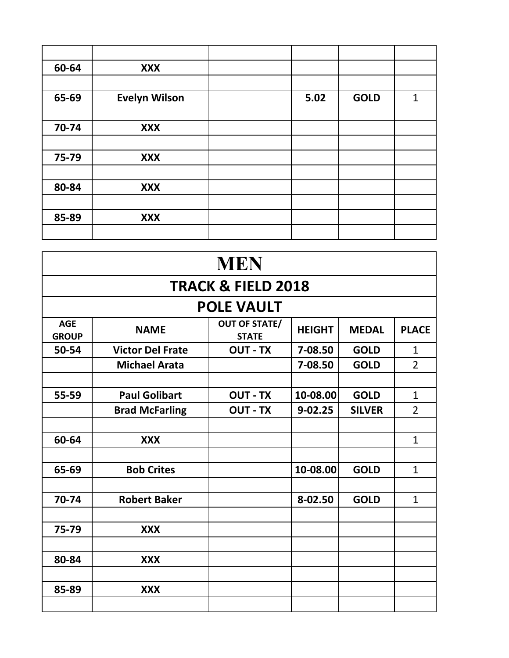| 60-64 | <b>XXX</b>           |      |             |              |
|-------|----------------------|------|-------------|--------------|
|       |                      |      |             |              |
| 65-69 | <b>Evelyn Wilson</b> | 5.02 | <b>GOLD</b> | $\mathbf{1}$ |
|       |                      |      |             |              |
| 70-74 | <b>XXX</b>           |      |             |              |
|       |                      |      |             |              |
| 75-79 | <b>XXX</b>           |      |             |              |
|       |                      |      |             |              |
| 80-84 | <b>XXX</b>           |      |             |              |
|       |                      |      |             |              |
| 85-89 | <b>XXX</b>           |      |             |              |
|       |                      |      |             |              |

| <b>MEN</b>                 |                               |                                      |               |               |                |  |  |  |  |  |
|----------------------------|-------------------------------|--------------------------------------|---------------|---------------|----------------|--|--|--|--|--|
|                            | <b>TRACK &amp; FIELD 2018</b> |                                      |               |               |                |  |  |  |  |  |
|                            |                               | <b>POLE VAULT</b>                    |               |               |                |  |  |  |  |  |
| <b>AGE</b><br><b>GROUP</b> | <b>NAME</b>                   | <b>OUT OF STATE/</b><br><b>STATE</b> | <b>HEIGHT</b> | <b>MEDAL</b>  | <b>PLACE</b>   |  |  |  |  |  |
| 50-54                      | <b>Victor Del Frate</b>       | <b>OUT - TX</b>                      | 7-08.50       | <b>GOLD</b>   | $\mathbf{1}$   |  |  |  |  |  |
|                            | <b>Michael Arata</b>          |                                      | 7-08.50       | <b>GOLD</b>   | $\overline{2}$ |  |  |  |  |  |
|                            |                               |                                      |               |               |                |  |  |  |  |  |
| 55-59                      | <b>Paul Golibart</b>          | <b>OUT - TX</b>                      | 10-08.00      | <b>GOLD</b>   | $\mathbf{1}$   |  |  |  |  |  |
|                            | <b>Brad McFarling</b>         | <b>OUT - TX</b>                      | $9 - 02.25$   | <b>SILVER</b> | $\overline{2}$ |  |  |  |  |  |
|                            |                               |                                      |               |               |                |  |  |  |  |  |
| 60-64                      | <b>XXX</b>                    |                                      |               |               | $\mathbf{1}$   |  |  |  |  |  |
|                            |                               |                                      |               |               |                |  |  |  |  |  |
| 65-69                      | <b>Bob Crites</b>             |                                      | 10-08.00      | <b>GOLD</b>   | $\mathbf{1}$   |  |  |  |  |  |
|                            |                               |                                      |               |               |                |  |  |  |  |  |
| 70-74                      | <b>Robert Baker</b>           |                                      | 8-02.50       | <b>GOLD</b>   | $\mathbf{1}$   |  |  |  |  |  |
|                            |                               |                                      |               |               |                |  |  |  |  |  |
| 75-79                      | <b>XXX</b>                    |                                      |               |               |                |  |  |  |  |  |
|                            |                               |                                      |               |               |                |  |  |  |  |  |
| 80-84                      | <b>XXX</b>                    |                                      |               |               |                |  |  |  |  |  |
|                            |                               |                                      |               |               |                |  |  |  |  |  |
| 85-89                      | <b>XXX</b>                    |                                      |               |               |                |  |  |  |  |  |
|                            |                               |                                      |               |               |                |  |  |  |  |  |